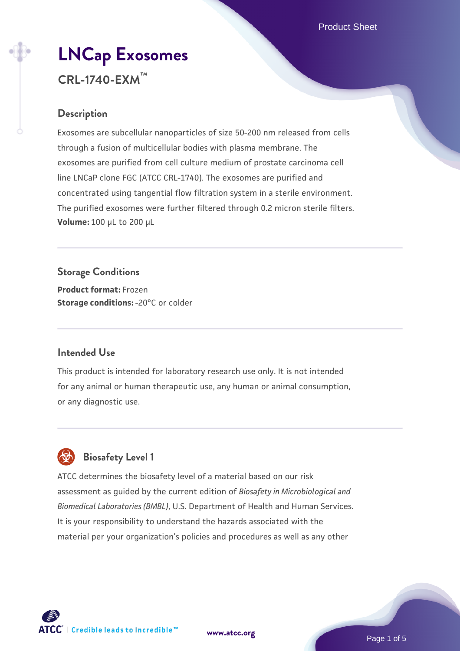# **[LNCap Exosomes](https://www.atcc.org/products/crl-1740-exm) CRL-1740-EXM™**

# **Description**

Exosomes are subcellular nanoparticles of size 50-200 nm released from cells through a fusion of multicellular bodies with plasma membrane. The exosomes are purified from cell culture medium of prostate carcinoma cell line LNCaP clone FGC (ATCC CRL-1740). The exosomes are purified and concentrated using tangential flow filtration system in a sterile environment. The purified exosomes were further filtered through 0.2 micron sterile filters. **Volume:** 100 µL to 200 µL

**Storage Conditions Product format:** Frozen **Storage conditions: -20°C or colder** 

### **Intended Use**

This product is intended for laboratory research use only. It is not intended for any animal or human therapeutic use, any human or animal consumption, or any diagnostic use.



# **Biosafety Level 1**

ATCC determines the biosafety level of a material based on our risk assessment as guided by the current edition of *Biosafety in Microbiological and Biomedical Laboratories (BMBL)*, U.S. Department of Health and Human Services. It is your responsibility to understand the hazards associated with the material per your organization's policies and procedures as well as any other



**[www.atcc.org](http://www.atcc.org)**

Page 1 of 5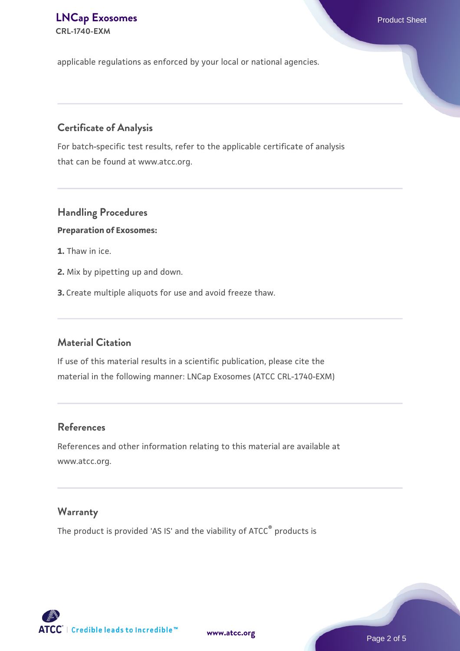### **[LNCap Exosomes](https://www.atcc.org/products/crl-1740-exm)** Product Sheet **CRL-1740-EXM**

applicable regulations as enforced by your local or national agencies.

# **Certificate of Analysis**

For batch-specific test results, refer to the applicable certificate of analysis that can be found at www.atcc.org.

# **Handling Procedures**

#### **Preparation of Exosomes:**

- **1.** Thaw in ice.
- **2.** Mix by pipetting up and down.
- **3.** Create multiple aliquots for use and avoid freeze thaw.

## **Material Citation**

If use of this material results in a scientific publication, please cite the material in the following manner: LNCap Exosomes (ATCC CRL-1740-EXM)

#### **References**

References and other information relating to this material are available at www.atcc.org.

#### **Warranty**

The product is provided 'AS IS' and the viability of ATCC® products is

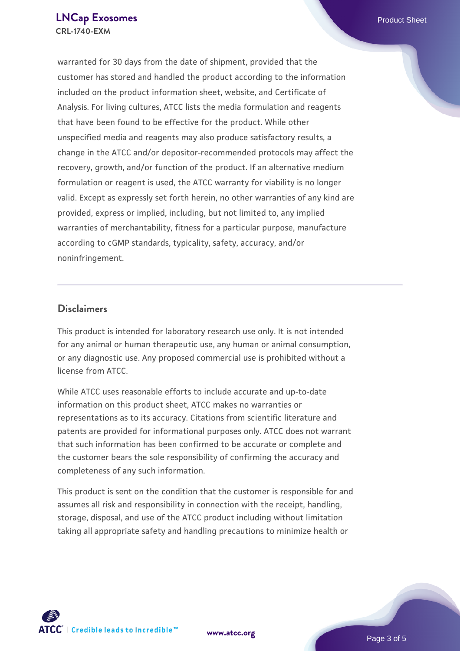warranted for 30 days from the date of shipment, provided that the customer has stored and handled the product according to the information included on the product information sheet, website, and Certificate of Analysis. For living cultures, ATCC lists the media formulation and reagents that have been found to be effective for the product. While other unspecified media and reagents may also produce satisfactory results, a change in the ATCC and/or depositor-recommended protocols may affect the recovery, growth, and/or function of the product. If an alternative medium formulation or reagent is used, the ATCC warranty for viability is no longer valid. Except as expressly set forth herein, no other warranties of any kind are provided, express or implied, including, but not limited to, any implied warranties of merchantability, fitness for a particular purpose, manufacture according to cGMP standards, typicality, safety, accuracy, and/or noninfringement.

#### **Disclaimers**

This product is intended for laboratory research use only. It is not intended for any animal or human therapeutic use, any human or animal consumption, or any diagnostic use. Any proposed commercial use is prohibited without a license from ATCC.

While ATCC uses reasonable efforts to include accurate and up-to-date information on this product sheet, ATCC makes no warranties or representations as to its accuracy. Citations from scientific literature and patents are provided for informational purposes only. ATCC does not warrant that such information has been confirmed to be accurate or complete and the customer bears the sole responsibility of confirming the accuracy and completeness of any such information.

This product is sent on the condition that the customer is responsible for and assumes all risk and responsibility in connection with the receipt, handling, storage, disposal, and use of the ATCC product including without limitation taking all appropriate safety and handling precautions to minimize health or



**[www.atcc.org](http://www.atcc.org)**

Page 3 of 5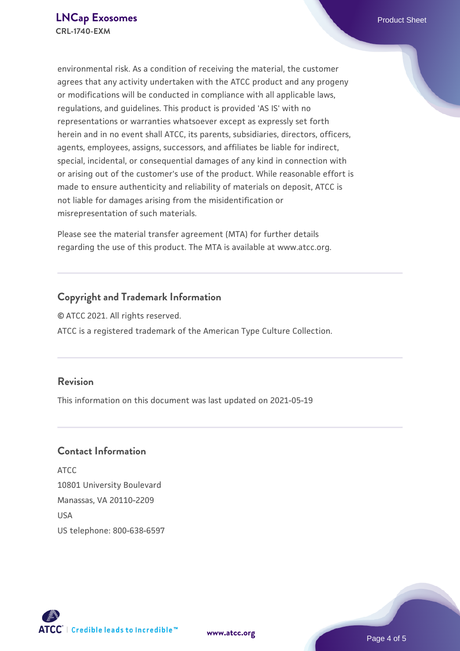environmental risk. As a condition of receiving the material, the customer agrees that any activity undertaken with the ATCC product and any progeny or modifications will be conducted in compliance with all applicable laws, regulations, and guidelines. This product is provided 'AS IS' with no representations or warranties whatsoever except as expressly set forth herein and in no event shall ATCC, its parents, subsidiaries, directors, officers, agents, employees, assigns, successors, and affiliates be liable for indirect, special, incidental, or consequential damages of any kind in connection with or arising out of the customer's use of the product. While reasonable effort is made to ensure authenticity and reliability of materials on deposit, ATCC is not liable for damages arising from the misidentification or misrepresentation of such materials.

Please see the material transfer agreement (MTA) for further details regarding the use of this product. The MTA is available at www.atcc.org.

# **Copyright and Trademark Information**

© ATCC 2021. All rights reserved. ATCC is a registered trademark of the American Type Culture Collection.

## **Revision**

This information on this document was last updated on 2021-05-19

## **Contact Information**

ATCC 10801 University Boulevard Manassas, VA 20110-2209 **IISA** US telephone: 800-638-6597